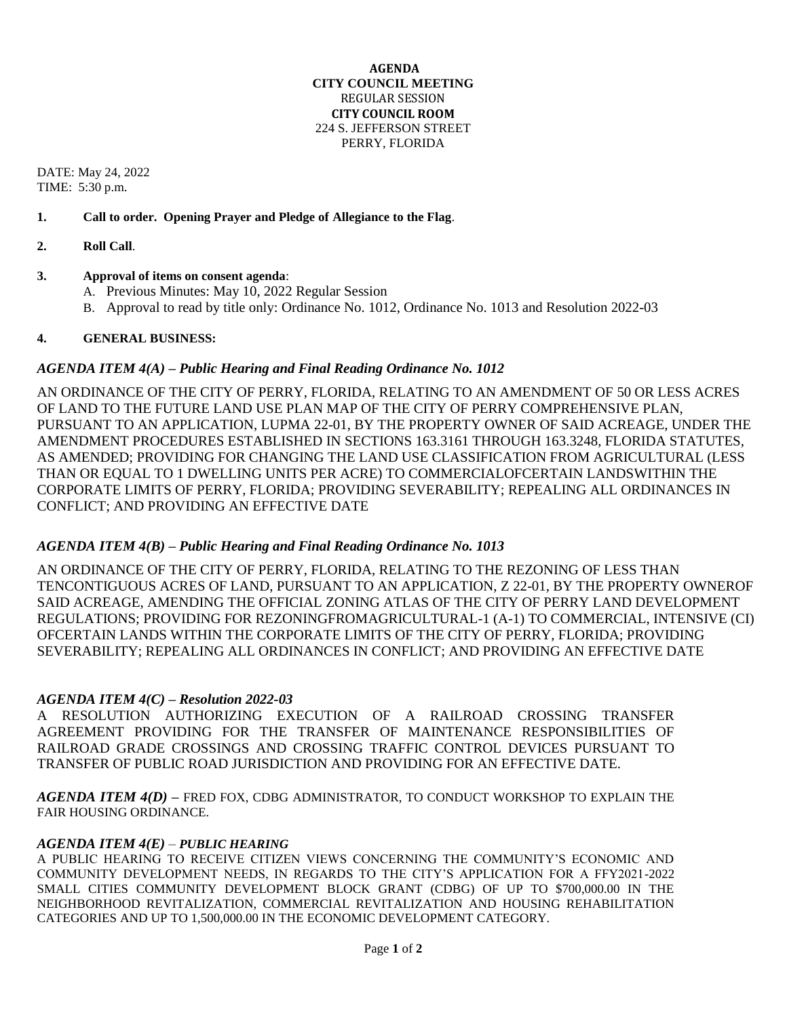#### **AGENDA CITY COUNCIL MEETING** REGULAR SESSION **CITY COUNCIL ROOM** 224 S. JEFFERSON STREET PERRY, FLORIDA

DATE: May 24, 2022 TIME: 5:30 p.m.

### **1. Call to order. Opening Prayer and Pledge of Allegiance to the Flag**.

**2. Roll Call**.

# **3. Approval of items on consent agenda**:

- A. Previous Minutes: May 10, 2022 Regular Session
- B. Approval to read by title only: Ordinance No. 1012, Ordinance No. 1013 and Resolution 2022-03

### **4. GENERAL BUSINESS:**

### *AGENDA ITEM 4(A) – Public Hearing and Final Reading Ordinance No. 1012*

AN ORDINANCE OF THE CITY OF PERRY, FLORIDA, RELATING TO AN AMENDMENT OF 50 OR LESS ACRES OF LAND TO THE FUTURE LAND USE PLAN MAP OF THE CITY OF PERRY COMPREHENSIVE PLAN, PURSUANT TO AN APPLICATION, LUPMA 22-01, BY THE PROPERTY OWNER OF SAID ACREAGE, UNDER THE AMENDMENT PROCEDURES ESTABLISHED IN SECTIONS 163.3161 THROUGH 163.3248, FLORIDA STATUTES, AS AMENDED; PROVIDING FOR CHANGING THE LAND USE CLASSIFICATION FROM AGRICULTURAL (LESS THAN OR EQUAL TO 1 DWELLING UNITS PER ACRE) TO COMMERCIALOFCERTAIN LANDSWITHIN THE CORPORATE LIMITS OF PERRY, FLORIDA; PROVIDING SEVERABILITY; REPEALING ALL ORDINANCES IN CONFLICT; AND PROVIDING AN EFFECTIVE DATE

# *AGENDA ITEM 4(B) – Public Hearing and Final Reading Ordinance No. 1013*

AN ORDINANCE OF THE CITY OF PERRY, FLORIDA, RELATING TO THE REZONING OF LESS THAN TENCONTIGUOUS ACRES OF LAND, PURSUANT TO AN APPLICATION, Z 22-01, BY THE PROPERTY OWNEROF SAID ACREAGE, AMENDING THE OFFICIAL ZONING ATLAS OF THE CITY OF PERRY LAND DEVELOPMENT REGULATIONS; PROVIDING FOR REZONINGFROMAGRICULTURAL-1 (A-1) TO COMMERCIAL, INTENSIVE (CI) OFCERTAIN LANDS WITHIN THE CORPORATE LIMITS OF THE CITY OF PERRY, FLORIDA; PROVIDING SEVERABILITY; REPEALING ALL ORDINANCES IN CONFLICT; AND PROVIDING AN EFFECTIVE DATE

# *AGENDA ITEM 4(C) – Resolution 2022-03*

A RESOLUTION AUTHORIZING EXECUTION OF A RAILROAD CROSSING TRANSFER AGREEMENT PROVIDING FOR THE TRANSFER OF MAINTENANCE RESPONSIBILITIES OF RAILROAD GRADE CROSSINGS AND CROSSING TRAFFIC CONTROL DEVICES PURSUANT TO TRANSFER OF PUBLIC ROAD JURISDICTION AND PROVIDING FOR AN EFFECTIVE DATE.

*AGENDA ITEM 4(D) –* FRED FOX, CDBG ADMINISTRATOR, TO CONDUCT WORKSHOP TO EXPLAIN THE FAIR HOUSING ORDINANCE.

#### *AGENDA ITEM 4(E)* – *PUBLIC HEARING*

A PUBLIC HEARING TO RECEIVE CITIZEN VIEWS CONCERNING THE COMMUNITY'S ECONOMIC AND COMMUNITY DEVELOPMENT NEEDS, IN REGARDS TO THE CITY'S APPLICATION FOR A FFY2021-2022 SMALL CITIES COMMUNITY DEVELOPMENT BLOCK GRANT (CDBG) OF UP TO \$700,000.00 IN THE NEIGHBORHOOD REVITALIZATION, COMMERCIAL REVITALIZATION AND HOUSING REHABILITATION CATEGORIES AND UP TO 1,500,000.00 IN THE ECONOMIC DEVELOPMENT CATEGORY.